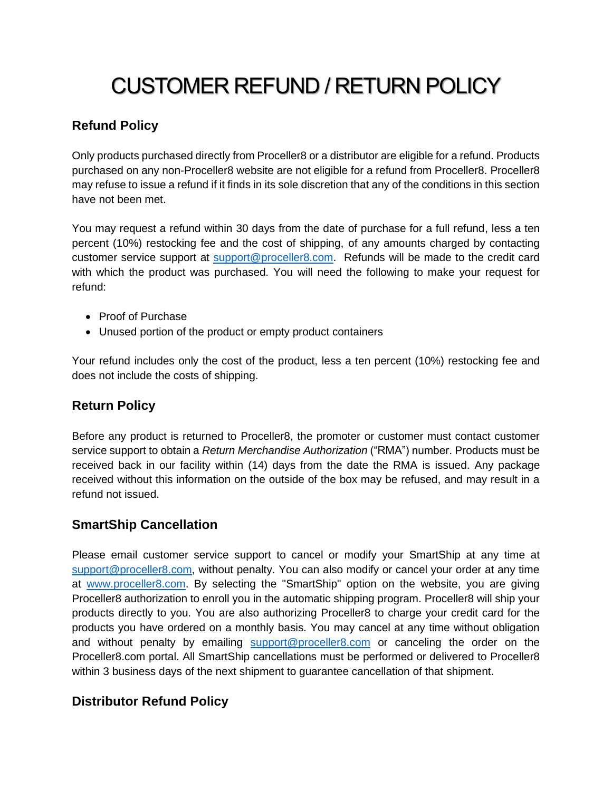# CUSTOMER REFUND / RETURN POLICY

## **Refund Policy**

Only products purchased directly from Proceller8 or a distributor are eligible for a refund. Products purchased on any non-Proceller8 website are not eligible for a refund from Proceller8. Proceller8 may refuse to issue a refund if it finds in its sole discretion that any of the conditions in this section have not been met.

You may request a refund within 30 days from the date of purchase for a full refund, less a ten percent (10%) restocking fee and the cost of shipping, of any amounts charged by contacting customer service support at [support@proceller8.com.](mailto:support@proceller8.com) Refunds will be made to the credit card with which the product was purchased. You will need the following to make your request for refund:

- Proof of Purchase
- Unused portion of the product or empty product containers

Your refund includes only the cost of the product, less a ten percent (10%) restocking fee and does not include the costs of shipping.

### **Return Policy**

Before any product is returned to Proceller8, the promoter or customer must contact customer service support to obtain a *Return Merchandise Authorization* ("RMA") number. Products must be received back in our facility within (14) days from the date the RMA is issued. Any package received without this information on the outside of the box may be refused, and may result in a refund not issued.

### **SmartShip Cancellation**

Please email customer service support to cancel or modify your SmartShip at any time at [support@proceller8.com,](mailto:support@proceller8.com) without penalty. You can also modify or cancel your order at any time at [www.proceller8.com.](http://www.proceller8.com/) By selecting the "SmartShip" option on the website, you are giving Proceller8 authorization to enroll you in the automatic shipping program. Proceller8 will ship your products directly to you. You are also authorizing Proceller8 to charge your credit card for the products you have ordered on a monthly basis. You may cancel at any time without obligation and without penalty by emailing [support@proceller8.com](mailto:support@proceller8.com) or canceling the order on the Proceller8.com portal. All SmartShip cancellations must be performed or delivered to Proceller8 within 3 business days of the next shipment to guarantee cancellation of that shipment.

### **Distributor Refund Policy**